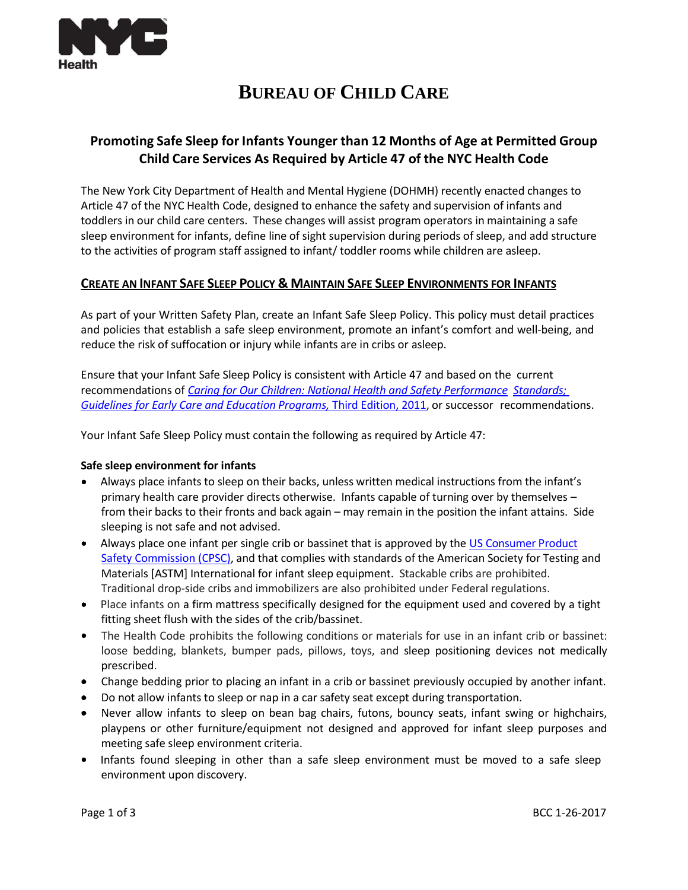

# **BUREAU OF CHILD CARE**

# **Promoting Safe Sleep for Infants Younger than 12 Months of Age at Permitted Group Child Care Services As Required by Article 47 of the NYC Health Code**

The New York City Department of Health and Mental Hygiene (DOHMH) recently enacted changes to Article 47 of the NYC Health Code, designed to enhance the safety and supervision of infants and toddlers in our child care centers. These changes will assist program operators in maintaining a safe sleep environment for infants, define line of sight supervision during periods of sleep, and add structure to the activities of program staff assigned to infant/ toddler rooms while children are asleep.

# **CREATE AN INFANT SAFE SLEEP POLICY & MAINTAIN SAFE SLEEP ENVIRONMENTS FOR INFANTS**

As part of your Written Safety Plan, create an Infant Safe Sleep Policy. This policy must detail practices and policies that establish a safe sleep environment, promote an infant's comfort and well-being, and reduce the risk of suffocation or injury while infants are in cribs or asleep.

Ensure that your Infant Safe Sleep Policy is consistent with Article 47 and based on the current recommendations of *Caring for Our Children: National [Health and Safety](http://nrckids.org/CFOC3/HTMLVersion/Chapter03.html#3.1.4.1) Performance [Standards;](http://www.healthybeveragesinchildcare.org/resources/CaringForOurChildren_NationalHealthandSafetyStandards.2011.pdf) Guidelines for Early Care [and Education](http://www.healthybeveragesinchildcare.org/resources/CaringForOurChildren_NationalHealthandSafetyStandards.2011.pdf) Programs,* Third Edition, 2011, or successor recommendations.

Your Infant Safe Sleep Policy must contain the following as required by Article 47:

# **Safe sleep environment for infants**

- Always place infants to sleep on their backs, unless written medical instructions from the infant's primary health care provider directs otherwise. Infants capable of turning over by themselves – from their backs to their fronts and back again – may remain in the position the infant attains. Side sleeping is not safe and not advised.
- Always place one infant per single crib or bassinet that is approved by the US [Consumer](https://www.cpsc.gov/safety-education/safety-education-centers/cribs) Produc[t](http://www.cpsc.gov/cribs) Safety [Commission](http://www.cpsc.gov/cribs) (CPSC), and that complies with standards of the American Society for Testing and Materials [ASTM] International for infant sleep equipment. Stackable cribs are prohibited. Traditional drop-side cribs and immobilizers are also prohibited under Federal regulations.
- Place infants on a firm mattress specifically designed for the equipment used and covered by a tight fitting sheet flush with the sides of the crib/bassinet.
- The Health Code prohibits the following conditions or materials for use in an infant crib or bassinet: loose bedding, blankets, bumper pads, pillows, toys, and sleep positioning devices not medically prescribed.
- Change bedding prior to placing an infant in a crib or bassinet previously occupied by another infant.
- Do not allow infants to sleep or nap in a car safety seat except during transportation.
- Never allow infants to sleep on bean bag chairs, futons, bouncy seats, infant swing or highchairs, playpens or other furniture/equipment not designed and approved for infant sleep purposes and meeting safe sleep environment criteria.
- Infants found sleeping in other than a safe sleep environment must be moved to a safe sleep environment upon discovery.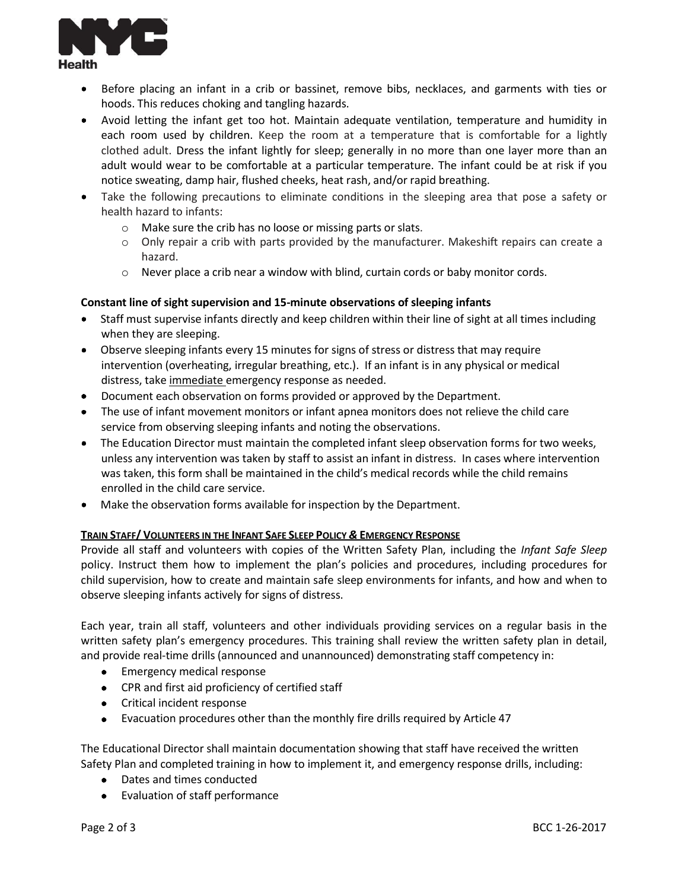

- Before placing an infant in a crib or bassinet, remove bibs, necklaces, and garments with ties or hoods. This reduces choking and tangling hazards.
- Avoid letting the infant get too hot. Maintain adequate ventilation, temperature and humidity in each room used by children. Keep the room at a temperature that is comfortable for a lightly clothed adult. Dress the infant lightly for sleep; generally in no more than one layer more than an adult would wear to be comfortable at a particular temperature. The infant could be at risk if you notice sweating, damp hair, flushed cheeks, heat rash, and/or rapid breathing.
- Take the following precautions to eliminate conditions in the sleeping area that pose a safety or health hazard to infants:
	- o Make sure the crib has no loose or missing parts or slats.
	- $\circ$  Only repair a crib with parts provided by the manufacturer. Makeshift repairs can create a hazard.
	- $\circ$  Never place a crib near a window with blind, curtain cords or baby monitor cords.

#### **Constant line of sight supervision and 15-minute observations of sleeping infants**

- Staff must supervise infants directly and keep children within their line of sight at all times including when they are sleeping.
- Observe sleeping infants every 15 minutes for signs of stress or distress that may require intervention (overheating, irregular breathing, etc.). If an infant is in any physical or medical distress, take immediate emergency response as needed.
- Document each observation on forms provided or approved by the Department.
- The use of infant movement monitors or infant apnea monitors does not relieve the child care service from observing sleeping infants and noting the observations.
- The Education Director must maintain the completed infant sleep observation forms for two weeks, unless any intervention was taken by staff to assist an infant in distress. In cases where intervention was taken, this form shall be maintained in the child's medical records while the child remains enrolled in the child care service.
- Make the observation forms available for inspection by the Department.

#### TRAIN STAFF/ VOLUNTEERS IN THE INFANT SAFE SLEEP POLICY & EMERGENCY RESPONSE

Provide all staff and volunteers with copies of the Written Safety Plan, including the *Infant Safe Sleep* policy. Instruct them how to implement the plan's policies and procedures, including procedures for child supervision, how to create and maintain safe sleep environments for infants, and how and when to observe sleeping infants actively for signs of distress.

Each year, train all staff, volunteers and other individuals providing services on a regular basis in the written safety plan's emergency procedures. This training shall review the written safety plan in detail, and provide real-time drills(announced and unannounced) demonstrating staff competency in:

- Emergency medical response
- CPR and first aid proficiency of certified staff
- Critical incident response
- Evacuation procedures other than the monthly fire drills required by Article 47

The Educational Director shall maintain documentation showing that staff have received the written Safety Plan and completed training in how to implement it, and emergency response drills, including:

- Dates and times conducted
- Evaluation of staff performance